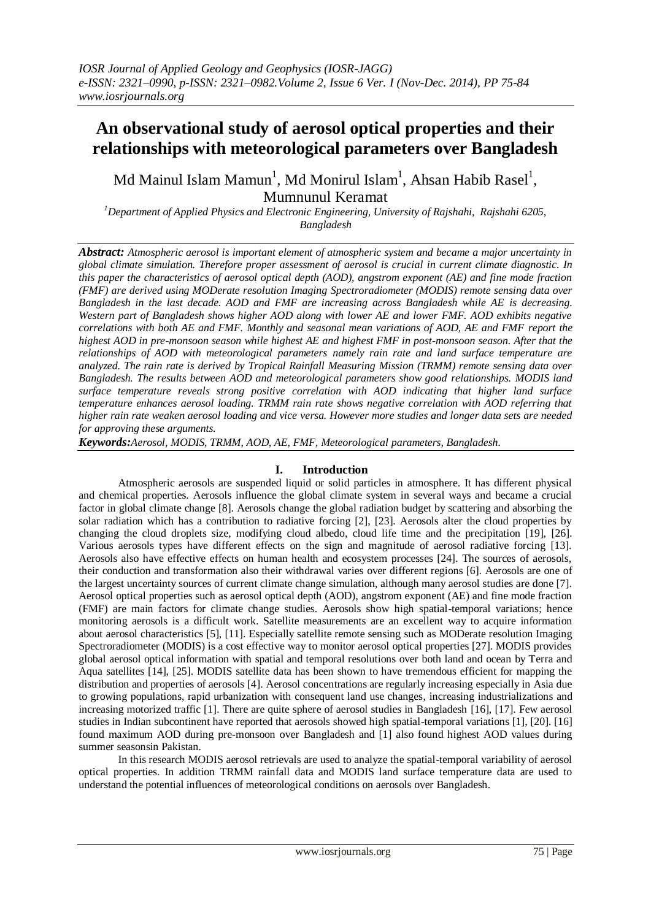# **An observational study of aerosol optical properties and their relationships with meteorological parameters over Bangladesh**

Md Mainul Islam Mamun $^{\rm l}$ , Md Monirul Islam $^{\rm l}$ , Ahsan Habib Rasel $^{\rm l}$ , Mumnunul Keramat

*<sup>1</sup>Department of Applied Physics and Electronic Engineering, University of Rajshahi, Rajshahi 6205, Bangladesh*

*Abstract: Atmospheric aerosol is important element of atmospheric system and became a major uncertainty in global climate simulation. Therefore proper assessment of aerosol is crucial in current climate diagnostic. In this paper the characteristics of aerosol optical depth (AOD), angstrom exponent (AE) and fine mode fraction (FMF) are derived using MODerate resolution Imaging Spectroradiometer (MODIS) remote sensing data over Bangladesh in the last decade. AOD and FMF are increasing across Bangladesh while AE is decreasing. Western part of Bangladesh shows higher AOD along with lower AE and lower FMF. AOD exhibits negative correlations with both AE and FMF. Monthly and seasonal mean variations of AOD, AE and FMF report the highest AOD in pre-monsoon season while highest AE and highest FMF in post-monsoon season. After that the relationships of AOD with meteorological parameters namely rain rate and land surface temperature are analyzed. The rain rate is derived by Tropical Rainfall Measuring Mission (TRMM) remote sensing data over Bangladesh. The results between AOD and meteorological parameters show good relationships. MODIS land surface temperature reveals strong positive correlation with AOD indicating that higher land surface temperature enhances aerosol loading. TRMM rain rate shows negative correlation with AOD referring that higher rain rate weaken aerosol loading and vice versa. However more studies and longer data sets are needed for approving these arguments.*

*Keywords:Aerosol, MODIS, TRMM, AOD, AE, FMF, Meteorological parameters, Bangladesh.*

# **I. Introduction**

Atmospheric aerosols are suspended liquid or solid particles in atmosphere. It has different physical and chemical properties. Aerosols influence the global climate system in several ways and became a crucial factor in global climate change [8]. Aerosols change the global radiation budget by scattering and absorbing the solar radiation which has a contribution to radiative forcing [2], [23]. Aerosols alter the cloud properties by changing the cloud droplets size, modifying cloud albedo, cloud life time and the precipitation [19], [26]. Various aerosols types have different effects on the sign and magnitude of aerosol radiative forcing [13]. Aerosols also have effective effects on human health and ecosystem processes [24]. The sources of aerosols, their conduction and transformation also their withdrawal varies over different regions [6]. Aerosols are one of the largest uncertainty sources of current climate change simulation, although many aerosol studies are done [7]. Aerosol optical properties such as aerosol optical depth (AOD), angstrom exponent (AE) and fine mode fraction (FMF) are main factors for climate change studies. Aerosols show high spatial-temporal variations; hence monitoring aerosols is a difficult work. Satellite measurements are an excellent way to acquire information about aerosol characteristics [5], [11]. Especially satellite remote sensing such as MODerate resolution Imaging Spectroradiometer (MODIS) is a cost effective way to monitor aerosol optical properties [27]. MODIS provides global aerosol optical information with spatial and temporal resolutions over both land and ocean by Terra and Aqua satellites [14], [25]. MODIS satellite data has been shown to have tremendous efficient for mapping the distribution and properties of aerosols [4]. Aerosol concentrations are regularly increasing especially in Asia due to growing populations, rapid urbanization with consequent land use changes, increasing industrializations and increasing motorized traffic [1]. There are quite sphere of aerosol studies in Bangladesh [16], [17]. Few aerosol studies in Indian subcontinent have reported that aerosols showed high spatial-temporal variations [1], [20]. [16] found maximum AOD during pre-monsoon over Bangladesh and [1] also found highest AOD values during summer seasonsin Pakistan.

In this research MODIS aerosol retrievals are used to analyze the spatial-temporal variability of aerosol optical properties. In addition TRMM rainfall data and MODIS land surface temperature data are used to understand the potential influences of meteorological conditions on aerosols over Bangladesh.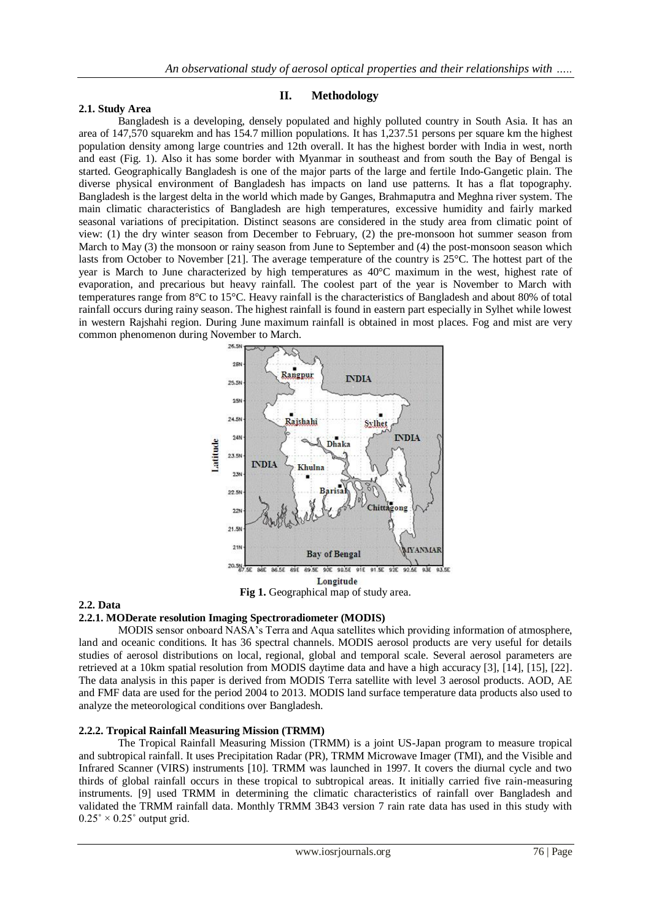## **2.1. Study Area**

## **II. Methodology**

Bangladesh is a developing, densely populated and highly polluted country in South Asia. It has an area of 147,570 squarekm and has 154.7 million populations. It has 1,237.51 persons per square km the highest population density among large countries and 12th overall. It has the highest border with India in west, north and east (Fig. 1). Also it has some border with Myanmar in southeast and from south the Bay of Bengal is started. Geographically Bangladesh is one of the major parts of the large and fertile Indo-Gangetic plain. The diverse physical environment of Bangladesh has impacts on land use patterns. It has a flat topography. Bangladesh is the largest delta in the world which made by Ganges, Brahmaputra and Meghna river system. The main climatic characteristics of Bangladesh are high temperatures, excessive humidity and fairly marked seasonal variations of precipitation. Distinct seasons are considered in the study area from climatic point of view: (1) the dry winter season from December to February, (2) the pre-monsoon hot summer season from March to May (3) the monsoon or rainy season from June to September and (4) the post-monsoon season which lasts from October to November [21]. The average temperature of the country is 25°C. The hottest part of the year is March to June characterized by high temperatures as 40°C maximum in the west, highest rate of evaporation, and precarious but heavy rainfall. The coolest part of the year is November to March with temperatures range from 8°C to 15°C. Heavy rainfall is the characteristics of Bangladesh and about 80% of total rainfall occurs during rainy season. The highest rainfall is found in eastern part especially in Sylhet while lowest in western Rajshahi region. During June maximum rainfall is obtained in most places. Fog and mist are very common phenomenon during November to March.



Fig 1. Geographical map of study area.

# **2.2. Data**

# **2.2.1. MODerate resolution Imaging Spectroradiometer (MODIS)**

MODIS sensor onboard NASA's Terra and Aqua satellites which providing information of atmosphere, land and oceanic conditions. It has 36 spectral channels. MODIS aerosol products are very useful for details studies of aerosol distributions on local, regional, global and temporal scale. Several aerosol parameters are retrieved at a 10km spatial resolution from MODIS daytime data and have a high accuracy [3], [14], [15], [22]. The data analysis in this paper is derived from MODIS Terra satellite with level 3 aerosol products. AOD, AE and FMF data are used for the period 2004 to 2013. MODIS land surface temperature data products also used to analyze the meteorological conditions over Bangladesh.

## **2.2.2. Tropical Rainfall Measuring Mission (TRMM)**

The Tropical Rainfall Measuring Mission (TRMM) is a joint US-Japan program to measure tropical and subtropical rainfall. It uses Precipitation Radar (PR), TRMM Microwave Imager (TMI), and the Visible and Infrared Scanner (VIRS) instruments [10]. TRMM was launched in 1997. It covers the diurnal cycle and two thirds of global rainfall occurs in these tropical to subtropical areas. It initially carried five rain-measuring instruments. [9] used TRMM in determining the climatic characteristics of rainfall over Bangladesh and validated the TRMM rainfall data. Monthly TRMM 3B43 version 7 rain rate data has used in this study with  $0.25^{\circ} \times 0.25^{\circ}$  output grid.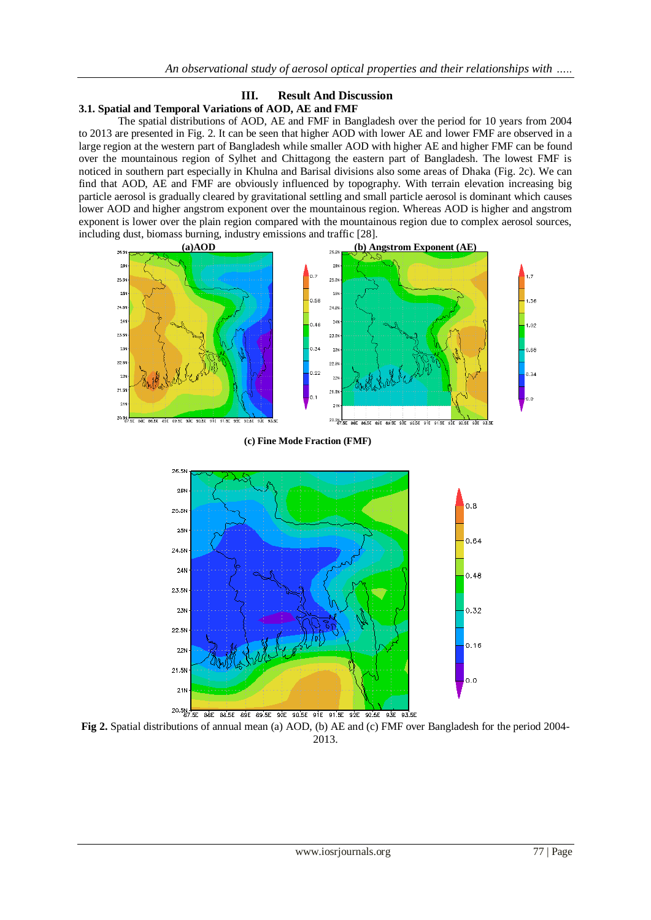# **III. Result And Discussion 3.1. Spatial and Temporal Variations of AOD, AE and FMF**

The spatial distributions of AOD, AE and FMF in Bangladesh over the period for 10 years from 2004 to 2013 are presented in Fig. 2. It can be seen that higher AOD with lower AE and lower FMF are observed in a large region at the western part of Bangladesh while smaller AOD with higher AE and higher FMF can be found over the mountainous region of Sylhet and Chittagong the eastern part of Bangladesh. The lowest FMF is noticed in southern part especially in Khulna and Barisal divisions also some areas of Dhaka (Fig. 2c). We can find that AOD, AE and FMF are obviously influenced by topography. With terrain elevation increasing big particle aerosol is gradually cleared by gravitational settling and small particle aerosol is dominant which causes lower AOD and higher angstrom exponent over the mountainous region. Whereas AOD is higher and angstrom exponent is lower over the plain region compared with the mountainous region due to complex aerosol sources, including dust, biomass burning, industry emissions and traffic [28].



**(c) Fine Mode Fraction (FMF)**



**Fig 2.** Spatial distributions of annual mean (a) AOD, (b) AE and (c) FMF over Bangladesh for the period 2004- 2013.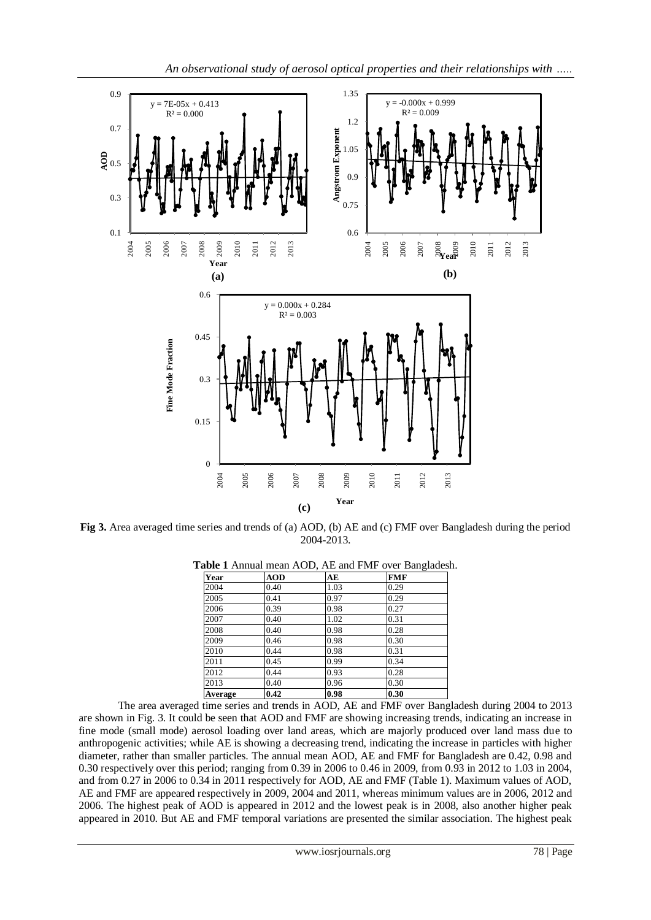

**Fig 3.** Area averaged time series and trends of (a) AOD, (b) AE and (c) FMF over Bangladesh during the period 2004-2013.

| Year    | <b>AOD</b> | AE   | <b>FMF</b> |  |
|---------|------------|------|------------|--|
| 2004    | 0.40       | 1.03 | 0.29       |  |
| 2005    | 0.41       | 0.97 | 0.29       |  |
| 2006    | 0.39       | 0.98 | 0.27       |  |
| 2007    | 0.40       | 1.02 | 0.31       |  |
| 2008    | 0.40       | 0.98 | 0.28       |  |
| 2009    | 0.46       | 0.98 | 0.30       |  |
| 2010    | 0.44       | 0.98 | 0.31       |  |
| 2011    | 0.45       | 0.99 | 0.34       |  |
| 2012    | 0.44       | 0.93 | 0.28       |  |
| 2013    | 0.40       | 0.96 | 0.30       |  |
| Average | 0.42       | 0.98 | 0.30       |  |

**Table 1** Annual mean AOD, AE and FMF over Bangladesh.

The area averaged time series and trends in AOD, AE and FMF over Bangladesh during 2004 to 2013 are shown in Fig. 3. It could be seen that AOD and FMF are showing increasing trends, indicating an increase in fine mode (small mode) aerosol loading over land areas, which are majorly produced over land mass due to anthropogenic activities; while AE is showing a decreasing trend, indicating the increase in particles with higher diameter, rather than smaller particles. The annual mean AOD, AE and FMF for Bangladesh are 0.42, 0.98 and 0.30 respectively over this period; ranging from 0.39 in 2006 to 0.46 in 2009, from 0.93 in 2012 to 1.03 in 2004, and from 0.27 in 2006 to 0.34 in 2011 respectively for AOD, AE and FMF (Table 1). Maximum values of AOD, AE and FMF are appeared respectively in 2009, 2004 and 2011, whereas minimum values are in 2006, 2012 and 2006. The highest peak of AOD is appeared in 2012 and the lowest peak is in 2008, also another higher peak appeared in 2010. But AE and FMF temporal variations are presented the similar association. The highest peak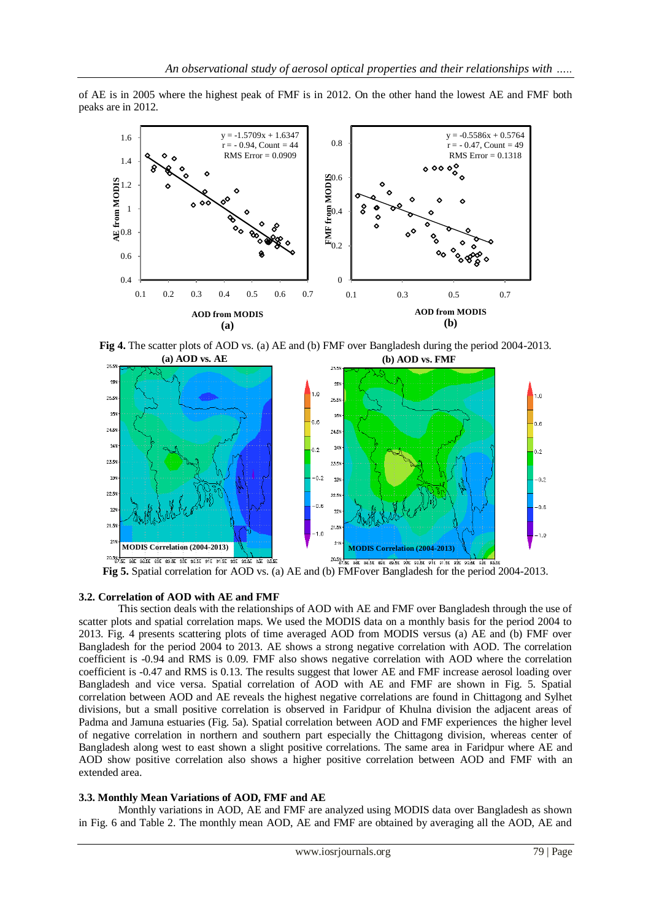of AE is in 2005 where the highest peak of FMF is in 2012. On the other hand the lowest AE and FMF both peaks are in 2012.



**Fig 4.** The scatter plots of AOD vs. (a) AE and (b) FMF over Bangladesh during the period 2004-2013.



**Fig 5.** Spatial correlation for AOD vs. (a) AE and (b) FMFover Bangladesh for the period 2004-2013.

## **3.2. Correlation of AOD with AE and FMF**

This section deals with the relationships of AOD with AE and FMF over Bangladesh through the use of scatter plots and spatial correlation maps. We used the MODIS data on a monthly basis for the period 2004 to 2013. Fig. 4 presents scattering plots of time averaged AOD from MODIS versus (a) AE and (b) FMF over Bangladesh for the period 2004 to 2013. AE shows a strong negative correlation with AOD. The correlation coefficient is -0.94 and RMS is 0.09. FMF also shows negative correlation with AOD where the correlation coefficient is -0.47 and RMS is 0.13. The results suggest that lower AE and FMF increase aerosol loading over Bangladesh and vice versa. Spatial correlation of AOD with AE and FMF are shown in Fig. 5. Spatial correlation between AOD and AE reveals the highest negative correlations are found in Chittagong and Sylhet divisions, but a small positive correlation is observed in Faridpur of Khulna division the adjacent areas of Padma and Jamuna estuaries (Fig. 5a). Spatial correlation between AOD and FMF experiences the higher level of negative correlation in northern and southern part especially the Chittagong division, whereas center of Bangladesh along west to east shown a slight positive correlations. The same area in Faridpur where AE and AOD show positive correlation also shows a higher positive correlation between AOD and FMF with an extended area.

## **3.3. Monthly Mean Variations of AOD, FMF and AE**

Monthly variations in AOD, AE and FMF are analyzed using MODIS data over Bangladesh as shown in Fig. 6 and Table 2. The monthly mean AOD, AE and FMF are obtained by averaging all the AOD, AE and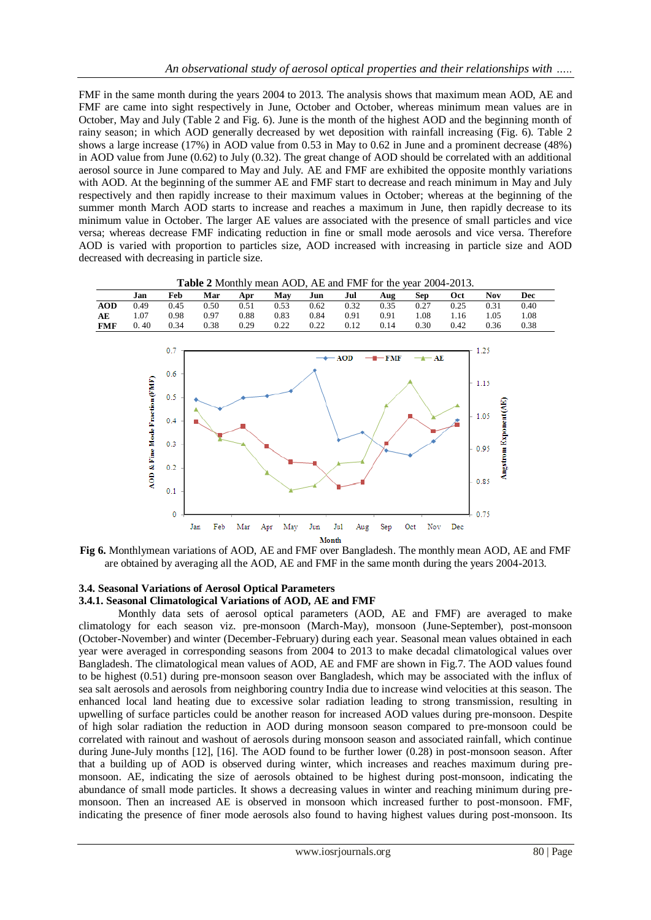FMF in the same month during the years 2004 to 2013. The analysis shows that maximum mean AOD, AE and FMF are came into sight respectively in June, October and October, whereas minimum mean values are in October, May and July (Table 2 and Fig. 6). June is the month of the highest AOD and the beginning month of rainy season; in which AOD generally decreased by wet deposition with rainfall increasing (Fig. 6). Table 2 shows a large increase (17%) in AOD value from 0.53 in May to 0.62 in June and a prominent decrease (48%) in AOD value from June (0.62) to July (0.32). The great change of AOD should be correlated with an additional aerosol source in June compared to May and July. AE and FMF are exhibited the opposite monthly variations with AOD. At the beginning of the summer AE and FMF start to decrease and reach minimum in May and July respectively and then rapidly increase to their maximum values in October; whereas at the beginning of the summer month March AOD starts to increase and reaches a maximum in June, then rapidly decrease to its minimum value in October. The larger AE values are associated with the presence of small particles and vice versa; whereas decrease FMF indicating reduction in fine or small mode aerosols and vice versa. Therefore AOD is varied with proportion to particles size, AOD increased with increasing in particle size and AOD decreased with decreasing in particle size.



**Table 2** Monthly mean AOD, AE and FMF for the year 2004-2013.

**Fig 6.** Monthlymean variations of AOD, AE and FMF over Bangladesh. The monthly mean AOD, AE and FMF are obtained by averaging all the AOD, AE and FMF in the same month during the years 2004-2013.

Month

## **3.4. Seasonal Variations of Aerosol Optical Parameters 3.4.1. Seasonal Climatological Variations of AOD, AE and FMF**

Monthly data sets of aerosol optical parameters (AOD, AE and FMF) are averaged to make climatology for each season viz. pre-monsoon (March-May), monsoon (June-September), post-monsoon (October-November) and winter (December-February) during each year. Seasonal mean values obtained in each year were averaged in corresponding seasons from 2004 to 2013 to make decadal climatological values over Bangladesh. The climatological mean values of AOD, AE and FMF are shown in Fig.7. The AOD values found to be highest (0.51) during pre-monsoon season over Bangladesh, which may be associated with the influx of sea salt aerosols and aerosols from neighboring country India due to increase wind velocities at this season. The enhanced local land heating due to excessive solar radiation leading to strong transmission, resulting in upwelling of surface particles could be another reason for increased AOD values during pre-monsoon. Despite of high solar radiation the reduction in AOD during monsoon season compared to pre-monsoon could be correlated with rainout and washout of aerosols during monsoon season and associated rainfall, which continue during June-July months [12], [16]. The AOD found to be further lower (0.28) in post-monsoon season. After that a building up of AOD is observed during winter, which increases and reaches maximum during premonsoon. AE, indicating the size of aerosols obtained to be highest during post-monsoon, indicating the abundance of small mode particles. It shows a decreasing values in winter and reaching minimum during premonsoon. Then an increased AE is observed in monsoon which increased further to post-monsoon. FMF, indicating the presence of finer mode aerosols also found to having highest values during post-monsoon. Its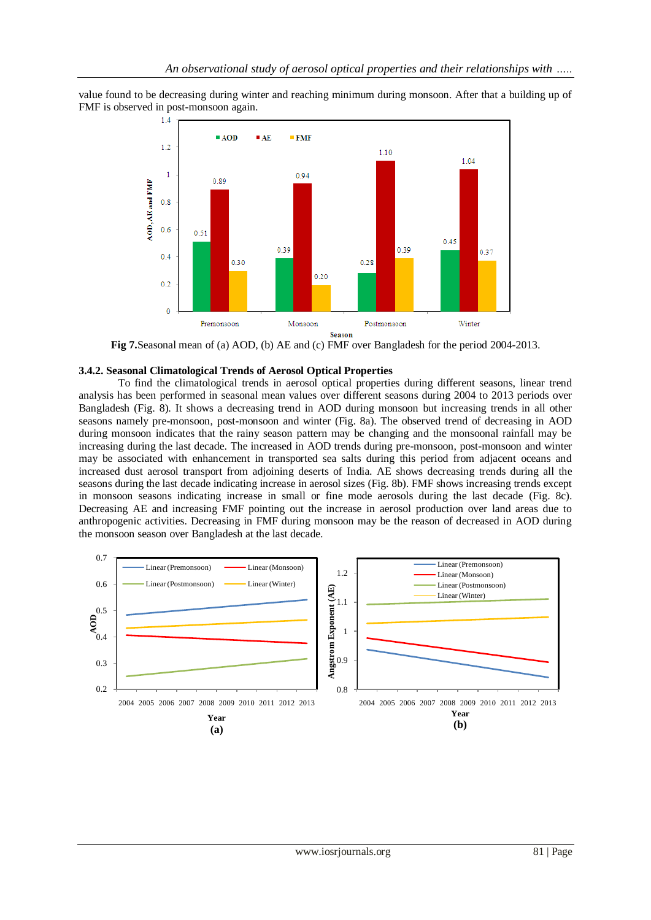value found to be decreasing during winter and reaching minimum during monsoon. After that a building up of FMF is observed in post-monsoon again.



**Fig 7.**Seasonal mean of (a) AOD, (b) AE and (c) FMF over Bangladesh for the period 2004-2013.

## **3.4.2. Seasonal Climatological Trends of Aerosol Optical Properties**

To find the climatological trends in aerosol optical properties during different seasons, linear trend analysis has been performed in seasonal mean values over different seasons during 2004 to 2013 periods over Bangladesh (Fig. 8). It shows a decreasing trend in AOD during monsoon but increasing trends in all other seasons namely pre-monsoon, post-monsoon and winter (Fig. 8a). The observed trend of decreasing in AOD during monsoon indicates that the rainy season pattern may be changing and the monsoonal rainfall may be increasing during the last decade. The increased in AOD trends during pre-monsoon, post-monsoon and winter may be associated with enhancement in transported sea salts during this period from adjacent oceans and increased dust aerosol transport from adjoining deserts of India. AE shows decreasing trends during all the seasons during the last decade indicating increase in aerosol sizes (Fig. 8b). FMF shows increasing trends except in monsoon seasons indicating increase in small or fine mode aerosols during the last decade (Fig. 8c). Decreasing AE and increasing FMF pointing out the increase in aerosol production over land areas due to anthropogenic activities. Decreasing in FMF during monsoon may be the reason of decreased in AOD during the monsoon season over Bangladesh at the last decade.

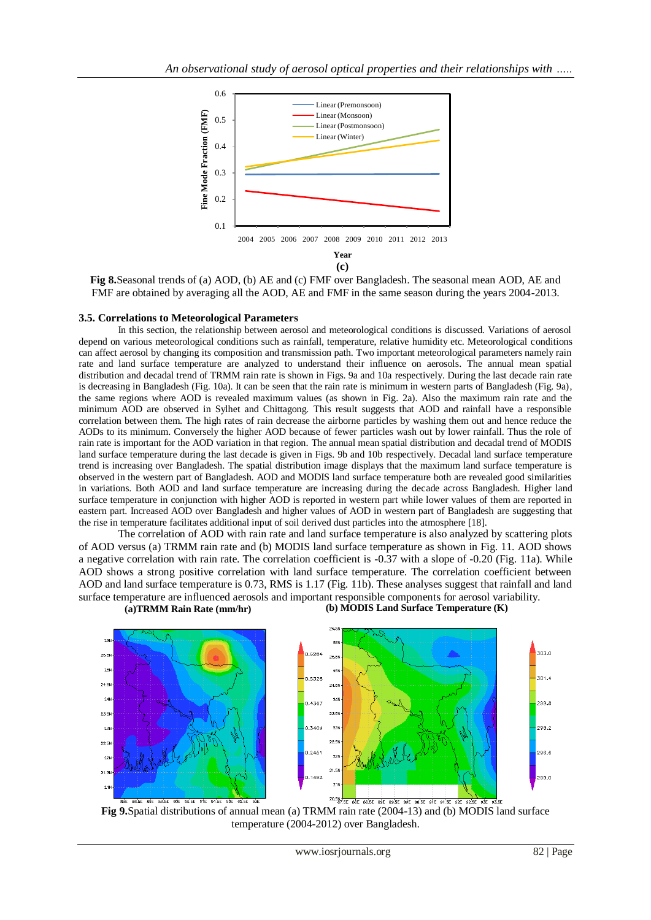

**Fig 8.**Seasonal trends of (a) AOD, (b) AE and (c) FMF over Bangladesh. The seasonal mean AOD, AE and FMF are obtained by averaging all the AOD, AE and FMF in the same season during the years 2004-2013.

## **3.5. Correlations to Meteorological Parameters**

In this section, the relationship between aerosol and meteorological conditions is discussed. Variations of aerosol depend on various meteorological conditions such as rainfall, temperature, relative humidity etc. Meteorological conditions can affect aerosol by changing its composition and transmission path. Two important meteorological parameters namely rain rate and land surface temperature are analyzed to understand their influence on aerosols. The annual mean spatial distribution and decadal trend of TRMM rain rate is shown in Figs. 9a and 10a respectively. During the last decade rain rate is decreasing in Bangladesh (Fig. 10a). It can be seen that the rain rate is minimum in western parts of Bangladesh (Fig. 9a), the same regions where AOD is revealed maximum values (as shown in Fig. 2a). Also the maximum rain rate and the minimum AOD are observed in Sylhet and Chittagong. This result suggests that AOD and rainfall have a responsible correlation between them. The high rates of rain decrease the airborne particles by washing them out and hence reduce the AODs to its minimum. Conversely the higher AOD because of fewer particles wash out by lower rainfall. Thus the role of rain rate is important for the AOD variation in that region. The annual mean spatial distribution and decadal trend of MODIS land surface temperature during the last decade is given in Figs. 9b and 10b respectively. Decadal land surface temperature trend is increasing over Bangladesh. The spatial distribution image displays that the maximum land surface temperature is observed in the western part of Bangladesh. AOD and MODIS land surface temperature both are revealed good similarities in variations. Both AOD and land surface temperature are increasing during the decade across Bangladesh. Higher land surface temperature in conjunction with higher AOD is reported in western part while lower values of them are reported in eastern part. Increased AOD over Bangladesh and higher values of AOD in western part of Bangladesh are suggesting that the rise in temperature facilitates additional input of soil derived dust particles into the atmosphere [18].

The correlation of AOD with rain rate and land surface temperature is also analyzed by scattering plots of AOD versus (a) TRMM rain rate and (b) MODIS land surface temperature as shown in Fig. 11. AOD shows a negative correlation with rain rate. The correlation coefficient is -0.37 with a slope of -0.20 (Fig. 11a). While AOD shows a strong positive correlation with land surface temperature. The correlation coefficient between AOD and land surface temperature is 0.73, RMS is 1.17 (Fig. 11b). These analyses suggest that rainfall and land surface temperature are influenced aerosols and important responsible components for aerosol variability. **(a)TRMM Rain Rate (mm/hr) (b) MODIS Land Surface Temperature (K)**



**Fig 9.**Spatial distributions of annual mean (a) TRMM rain rate (2004-13) and (b) MODIS land surface temperature (2004-2012) over Bangladesh.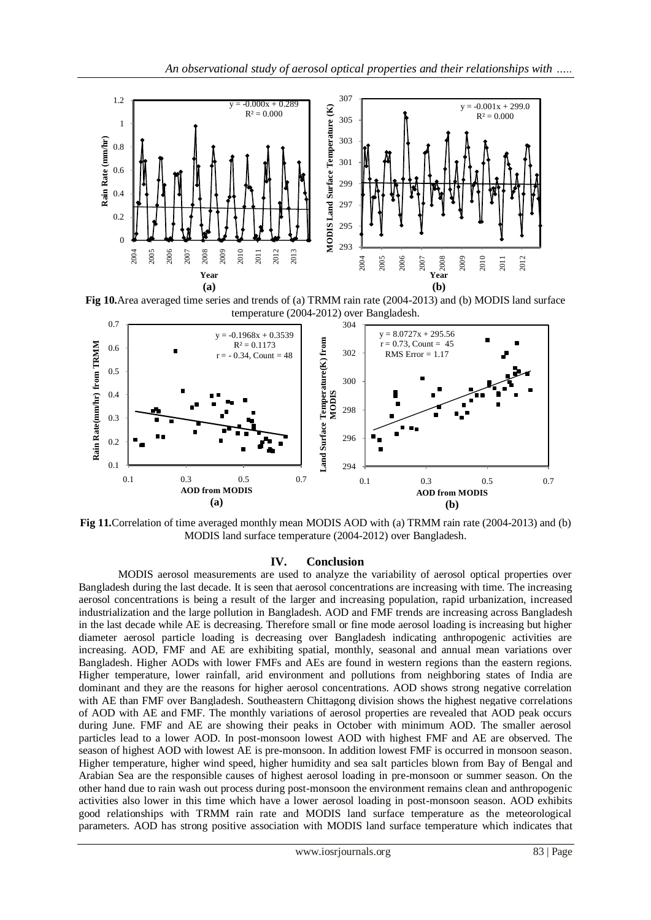

**Fig 10.**Area averaged time series and trends of (a) TRMM rain rate (2004-2013) and (b) MODIS land surface temperature (2004-2012) over Bangladesh.



**Fig 11.**Correlation of time averaged monthly mean MODIS AOD with (a) TRMM rain rate (2004-2013) and (b) MODIS land surface temperature (2004-2012) over Bangladesh.

## **IV. Conclusion**

MODIS aerosol measurements are used to analyze the variability of aerosol optical properties over Bangladesh during the last decade. It is seen that aerosol concentrations are increasing with time. The increasing aerosol concentrations is being a result of the larger and increasing population, rapid urbanization, increased industrialization and the large pollution in Bangladesh. AOD and FMF trends are increasing across Bangladesh in the last decade while AE is decreasing. Therefore small or fine mode aerosol loading is increasing but higher diameter aerosol particle loading is decreasing over Bangladesh indicating anthropogenic activities are increasing. AOD, FMF and AE are exhibiting spatial, monthly, seasonal and annual mean variations over Bangladesh. Higher AODs with lower FMFs and AEs are found in western regions than the eastern regions. Higher temperature, lower rainfall, arid environment and pollutions from neighboring states of India are dominant and they are the reasons for higher aerosol concentrations. AOD shows strong negative correlation with AE than FMF over Bangladesh. Southeastern Chittagong division shows the highest negative correlations of AOD with AE and FMF. The monthly variations of aerosol properties are revealed that AOD peak occurs during June. FMF and AE are showing their peaks in October with minimum AOD. The smaller aerosol particles lead to a lower AOD. In post-monsoon lowest AOD with highest FMF and AE are observed. The season of highest AOD with lowest AE is pre-monsoon. In addition lowest FMF is occurred in monsoon season. Higher temperature, higher wind speed, higher humidity and sea salt particles blown from Bay of Bengal and Arabian Sea are the responsible causes of highest aerosol loading in pre-monsoon or summer season. On the other hand due to rain wash out process during post-monsoon the environment remains clean and anthropogenic activities also lower in this time which have a lower aerosol loading in post-monsoon season. AOD exhibits good relationships with TRMM rain rate and MODIS land surface temperature as the meteorological parameters. AOD has strong positive association with MODIS land surface temperature which indicates that